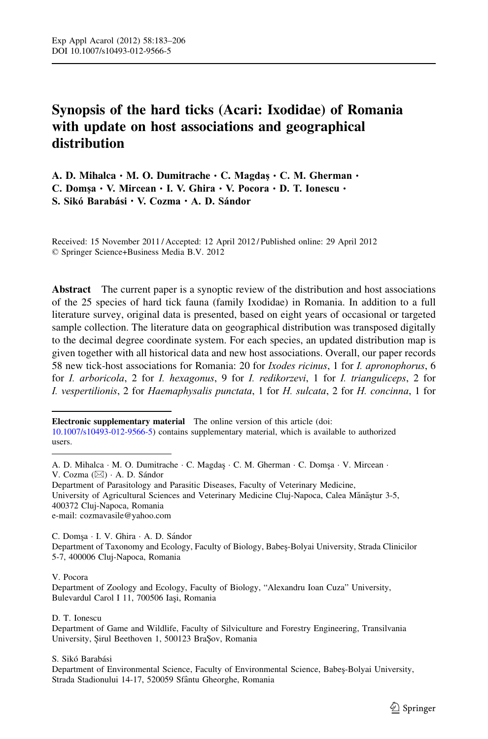# Synopsis of the hard ticks (Acari: Ixodidae) of Romania with update on host associations and geographical distribution

A. D. Mihalca · M. O. Dumitrache · C. Magdaş · C. M. Gherman · C. Domşa · V. Mircean · I. V. Ghira · V. Pocora · D. T. Ionescu · S. Sikó Barabási · V. Cozma · A. D. Sándor

Received: 15 November 2011 / Accepted: 12 April 2012 / Published online: 29 April 2012 © Springer Science+Business Media B.V. 2012

Abstract The current paper is a synoptic review of the distribution and host associations of the 25 species of hard tick fauna (family Ixodidae) in Romania. In addition to a full literature survey, original data is presented, based on eight years of occasional or targeted sample collection. The literature data on geographical distribution was transposed digitally to the decimal degree coordinate system. For each species, an updated distribution map is given together with all historical data and new host associations. Overall, our paper records 58 new tick-host associations for Romania: 20 for *Ixodes ricinus*, 1 for *I. apronophorus*, 6 for I. arboricola, 2 for I. hexagonus, 9 for I. redikorzevi, 1 for I. trianguliceps, 2 for I. vespertilionis, 2 for Haemaphysalis punctata, 1 for H. sulcata, 2 for H. concinna, 1 for

Electronic supplementary material The online version of this article (doi:

Department of Parasitology and Parasitic Diseases, Faculty of Veterinary Medicine, University of Agricultural Sciences and Veterinary Medicine Cluj-Napoca, Calea Mănăstur 3-5, 400372 Cluj-Napoca, Romania e-mail: cozmavasile@yahoo.com

C. Domsa · I. V. Ghira · A. D. Sándor Department of Taxonomy and Ecology, Faculty of Biology, Babes¸-Bolyai University, Strada Clinicilor 5-7, 400006 Cluj-Napoca, Romania

## V. Pocora

Department of Zoology and Ecology, Faculty of Biology, "Alexandru Ioan Cuza" University, Bulevardul Carol I 11, 700506 Iași, Romania

D. T. Ionescu

Department of Game and Wildlife, Faculty of Silviculture and Forestry Engineering, Transilvania University, Șirul Beethoven 1, 500123 BraȘov, Romania

S. Sikó Barabási

Department of Environmental Science, Faculty of Environmental Science, Babes-Bolyai University, Strada Stadionului 14-17, 520059 Sfântu Gheorghe, Romania

[<sup>10.1007/</sup>s10493-012-9566-5](http://dx.doi.org/10.1007/s10493-012-9566-5)) contains supplementary material, which is available to authorized users.

A. D. Mihalca · M. O. Dumitrache · C. Magdas · C. M. Gherman · C. Domsa · V. Mircean · V. Cozma (⊠) · A. D. Sándor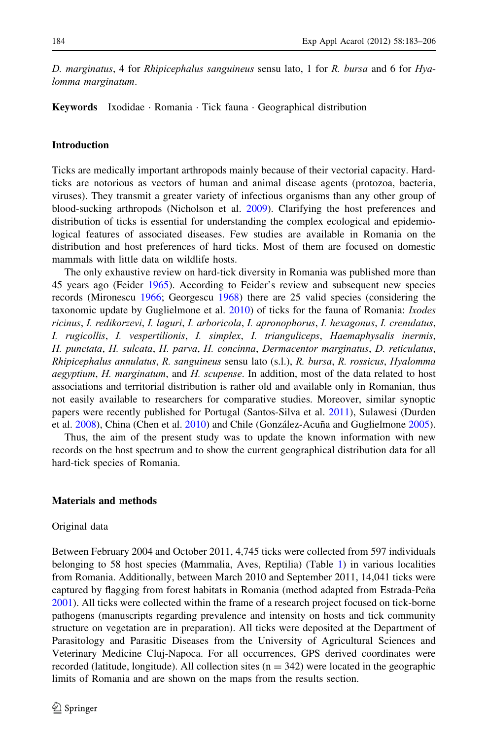D. marginatus, 4 for Rhipicephalus sanguineus sensu lato, 1 for R. bursa and 6 for Hyalomma marginatum.

**Keywords** Ixodidae · Romania · Tick fauna · Geographical distribution

## Introduction

Ticks are medically important arthropods mainly because of their vectorial capacity. Hardticks are notorious as vectors of human and animal disease agents (protozoa, bacteria, viruses). They transmit a greater variety of infectious organisms than any other group of blood-sucking arthropods (Nicholson et al. [2009\)](#page-22-0). Clarifying the host preferences and distribution of ticks is essential for understanding the complex ecological and epidemiological features of associated diseases. Few studies are available in Romania on the distribution and host preferences of hard ticks. Most of them are focused on domestic mammals with little data on wildlife hosts.

The only exhaustive review on hard-tick diversity in Romania was published more than 45 years ago (Feider [1965](#page-21-0)). According to Feider's review and subsequent new species records (Mironescu [1966](#page-22-0); Georgescu [1968\)](#page-21-0) there are 25 valid species (considering the taxonomic update by Guglielmone et al. [2010](#page-22-0)) of ticks for the fauna of Romania: Ixodes ricinus, I. redikorzevi, I. laguri, I. arboricola, I. apronophorus, I. hexagonus, I. crenulatus, I. rugicollis, I. vespertilionis, I. simplex, I. trianguliceps, Haemaphysalis inermis, H. punctata, H. sulcata, H. parva, H. concinna, Dermacentor marginatus, D. reticulatus, Rhipicephalus annulatus, R. sanguineus sensu lato (s.l.), R. bursa, R. rossicus, Hyalomma aegyptium, H. marginatum, and H. scupense. In addition, most of the data related to host associations and territorial distribution is rather old and available only in Romanian, thus not easily available to researchers for comparative studies. Moreover, similar synoptic papers were recently published for Portugal (Santos-Silva et al. [2011](#page-22-0)), Sulawesi (Durden et al. [2008\)](#page-21-0), China (Chen et al. [2010\)](#page-21-0) and Chile (González-Acuña and Guglielmone [2005](#page-21-0)).

Thus, the aim of the present study was to update the known information with new records on the host spectrum and to show the current geographical distribution data for all hard-tick species of Romania.

# Materials and methods

#### Original data

Between February 2004 and October 2011, 4,745 ticks were collected from 597 individuals belonging to 58 host species (Mammalia, Aves, Reptilia) (Table [1\)](#page-2-0) in various localities from Romania. Additionally, between March 2010 and September 2011, 14,041 ticks were captured by flagging from forest habitats in Romania (method adapted from Estrada-Peña [2001\)](#page-21-0). All ticks were collected within the frame of a research project focused on tick-borne pathogens (manuscripts regarding prevalence and intensity on hosts and tick community structure on vegetation are in preparation). All ticks were deposited at the Department of Parasitology and Parasitic Diseases from the University of Agricultural Sciences and Veterinary Medicine Cluj-Napoca. For all occurrences, GPS derived coordinates were recorded (latitude, longitude). All collection sites  $(n = 342)$  were located in the geographic limits of Romania and are shown on the maps from the results section.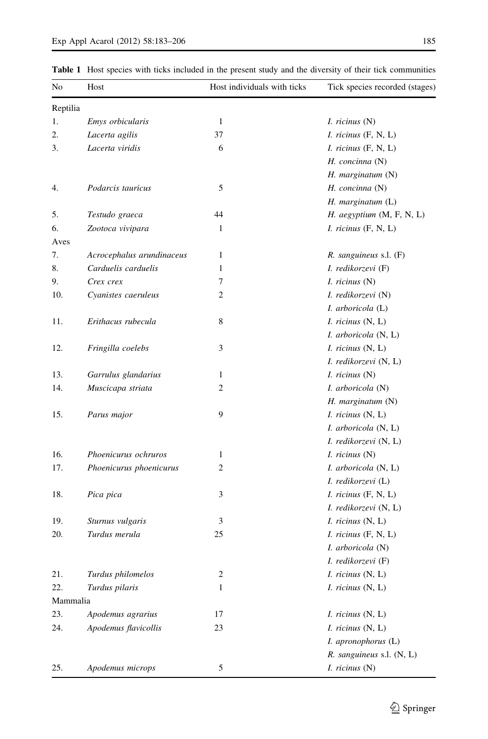<span id="page-2-0"></span>

| No       | Host                      | Host individuals with ticks | Tick species recorded (stages) |
|----------|---------------------------|-----------------------------|--------------------------------|
| Reptilia |                           |                             |                                |
| 1.       | Emys orbicularis          | 1                           | <i>I. ricinus</i> $(N)$        |
| 2.       | Lacerta agilis            | 37                          | $I.$ ricinus $(F, N, L)$       |
| 3.       | Lacerta viridis           | 6                           | $I.$ ricinus $(F, N, L)$       |
|          |                           |                             | H. concinna (N)                |
|          |                           |                             | H. marginatum (N)              |
| 4.       | Podarcis tauricus         | 5                           | H. concinna (N)                |
|          |                           |                             | $H.$ marginatum $(L)$          |
| 5.       | Testudo graeca            | 44                          | H. aegyptium (M, F, N, L)      |
| 6.       | Zootoca vivipara          | 1                           | I. ricinus (F, N, L)           |
| Aves     |                           |                             |                                |
| 7.       | Acrocephalus arundinaceus | 1                           | $R.$ sanguineus s.l. $(F)$     |
| 8.       | Carduelis carduelis       | 1                           | I. redikorzevi (F)             |
| 9.       | Crex crex                 | 7                           | <i>I. ricinus</i> $(N)$        |
| 10.      | Cyanistes caeruleus       | 2                           | I. redikorzevi (N)             |
|          |                           |                             | I. arboricola (L)              |
| 11.      | Erithacus rubecula        | 8                           | $I.$ ricinus $(N, L)$          |
|          |                           |                             | I. arboricola (N, L)           |
| 12.      | Fringilla coelebs         | 3                           | $I.$ ricinus $(N, L)$          |
|          |                           |                             | I. redikorzevi (N, L)          |
| 13.      | Garrulus glandarius       | 1                           | <i>I. ricinus</i> $(N)$        |
| 14.      | Muscicapa striata         | 2                           | I. arboricola (N)              |
|          |                           |                             | $H.$ marginatum $(N)$          |
| 15.      | Parus major               | 9                           | $I.$ ricinus $(N, L)$          |
|          |                           |                             | I. arboricola (N, L)           |
|          |                           |                             | I. redikorzevi (N, L)          |
| 16.      | Phoenicurus ochruros      | 1                           | $I.$ ricinus $(N)$             |
| 17.      | Phoenicurus phoenicurus   | 2                           | I. arboricola (N, L)           |
|          |                           |                             | I. redikorzevi (L)             |
| 18.      | Pica pica                 | 3                           | $I.$ ricinus $(F, N, L)$       |
|          |                           |                             | I. redikorzevi (N, L)          |
| 19.      | Sturnus vulgaris          | 3                           | $I.$ ricinus $(N, L)$          |
| 20.      | Turdus merula             | 25                          | $I.$ ricinus $(F, N, L)$       |
|          |                           |                             | I. arboricola (N)              |
|          |                           |                             | I. redikorzevi (F)             |
| 21.      | Turdus philomelos         | $\overline{\mathbf{c}}$     | I. ricinus (N, L)              |
| 22.      | Turdus pilaris            | 1                           | $I.$ ricinus $(N, L)$          |
| Mammalia |                           |                             |                                |
| 23.      | Apodemus agrarius         | 17                          | I. ricinus (N, L)              |
| 24.      | Apodemus flavicollis      | 23                          | I. ricinus (N, L)              |
|          |                           |                             | I. apronophorus (L)            |
|          |                           |                             | R. sanguineus s.l. (N, L)      |
| 25.      | Apodemus microps          | 5                           | I. ricinus (N)                 |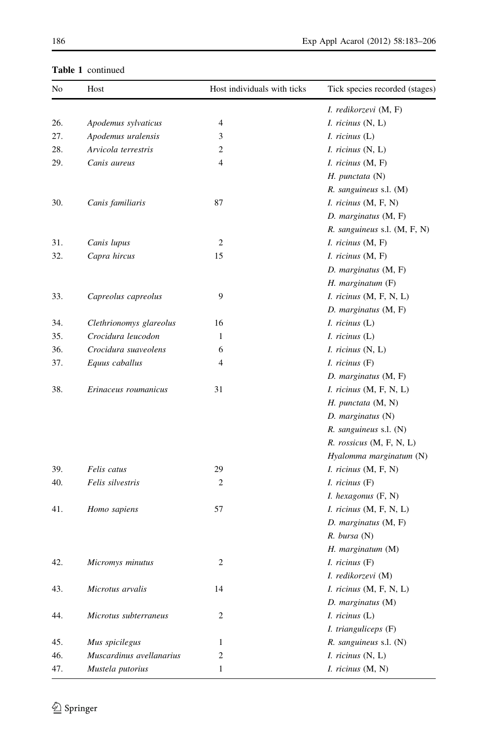| No  | Host                     | Host individuals with ticks | Tick species recorded (stages)   |
|-----|--------------------------|-----------------------------|----------------------------------|
|     |                          |                             | I. redikorzevi (M, F)            |
| 26. | Apodemus sylvaticus      | 4                           | <i>I. ricinus</i> $(N, L)$       |
| 27. | Apodemus uralensis       | 3                           | $I.$ ricinus $(L)$               |
| 28. | Arvicola terrestris      | $\overline{c}$              | <i>I. ricinus</i> $(N, L)$       |
| 29. | Canis aureus             | $\overline{4}$              | I. ricinus (M, F)                |
|     |                          |                             | $H.$ punctata $(N)$              |
|     |                          |                             | R. sanguineus s.l. (M)           |
| 30. | Canis familiaris         | 87                          | <i>I. ricinus</i> $(M, F, N)$    |
|     |                          |                             | $D.$ marginatus $(M, F)$         |
|     |                          |                             | $R.$ sanguineus s.l. $(M, F, N)$ |
| 31. | Canis lupus              | $\overline{c}$              | <i>I. ricinus</i> $(M, F)$       |
| 32. | Capra hircus             | 15                          | I. ricinus (M, F)                |
|     |                          |                             | D. marginatus (M, F)             |
|     |                          |                             | $H.$ marginatum $(F)$            |
| 33. | Capreolus capreolus      | 9                           | $I.$ ricinus $(M, F, N, L)$      |
|     |                          |                             | D. marginatus (M, F)             |
| 34. | Clethrionomys glareolus  | 16                          | $I.$ ricinus $(L)$               |
| 35. | Crocidura leucodon       | $\mathbf{1}$                | $I.$ ricinus $(L)$               |
| 36. | Crocidura suaveolens     | 6                           | $I.$ ricinus $(N, L)$            |
| 37. | Equus caballus           | $\overline{4}$              | $I.$ ricinus $(F)$               |
|     |                          |                             | D. marginatus (M, F)             |
| 38. | Erinaceus roumanicus     | 31                          | <i>I. ricinus</i> $(M, F, N, L)$ |
|     |                          |                             | $H.$ punctata $(M, N)$           |
|     |                          |                             | $D.$ marginatus $(N)$            |
|     |                          |                             | $R.$ sanguineus s.l. $(N)$       |
|     |                          |                             | R. rossicus (M, F, N, L)         |
|     |                          |                             | Hyalomma marginatum (N)          |
| 39. | Felis catus              | 29                          | <i>I. ricinus</i> $(M, F, N)$    |
| 40. | Felis silvestris         | 2                           | $I.$ ricinus $(F)$               |
|     |                          |                             | I. hexagonus (F, N)              |
| 41. | Homo sapiens             | 57                          | <i>I. ricinus</i> $(M, F, N, L)$ |
|     |                          |                             | $D.$ marginatus $(M, F)$         |
|     |                          |                             | R. bursa (N)                     |
|     |                          |                             | H. marginatum (M)                |
| 42. | Micromys minutus         | 2                           | I. ricinus (F)                   |
|     |                          |                             | I. redikorzevi (M)               |
| 43. | Microtus arvalis         | 14                          | <i>I. ricinus</i> $(M, F, N, L)$ |
|     |                          |                             | D. marginatus (M)                |
| 44. | Microtus subterraneus    | 2                           | $I.$ ricinus $(L)$               |
|     |                          |                             | I. trianguliceps (F)             |
| 45. | Mus spicilegus           | $\mathbf{1}$                | $R.$ sanguineus s.l. $(N)$       |
| 46. | Muscardinus avellanarius | 2                           | $I.$ ricinus $(N, L)$            |
|     | Mustela putorius         | 1                           |                                  |
| 47. |                          |                             | I. ricinus (M, N)                |

# Table 1 continued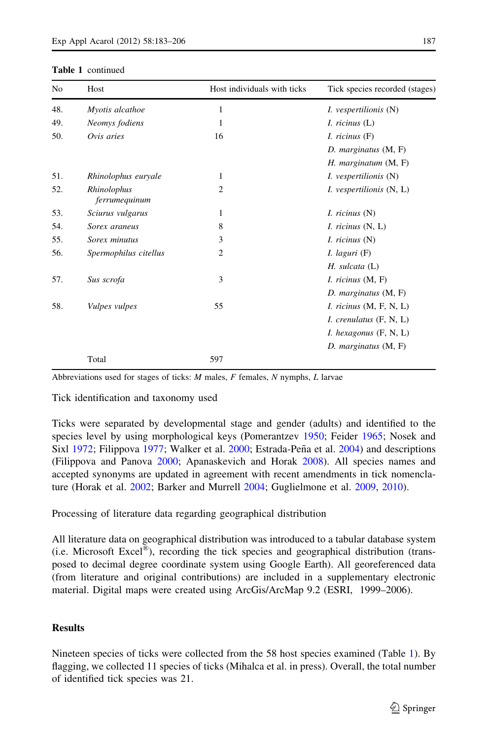#### Table 1 continued

| N <sub>0</sub> | Host                         | Host individuals with ticks | Tick species recorded (stages)  |
|----------------|------------------------------|-----------------------------|---------------------------------|
| 48.            | Myotis alcathoe              | 1                           | <i>I. vespertilionis</i> (N)    |
| 49.            | Neomys fodiens               | 1                           | $I.$ ricinus $(L)$              |
| 50.            | Ovis aries                   | 16                          | I. ricinus (F)                  |
|                |                              |                             | D. marginatus (M, F)            |
|                |                              |                             | H. marginatum (M, F)            |
| 51.            | Rhinolophus euryale          | 1                           | <i>I. vespertilionis</i> (N)    |
| 52.            | Rhinolophus<br>ferrumequinum | $\overline{2}$              | <i>I. vespertilionis</i> (N, L) |
| 53.            | Sciurus vulgarus             | 1                           | <i>I. ricinus</i> $(N)$         |
| 54.            | Sorex araneus                | 8                           | <i>I. ricinus</i> $(N, L)$      |
| 55.            | Sorex minutus                | 3                           | <i>I. ricinus</i> $(N)$         |
| 56.            | Spermophilus citellus        | $\overline{2}$              | I. laguri(F)                    |
|                |                              |                             | $H.$ sulcata $(L)$              |
| 57.            | Sus scrofa                   | 3                           | I. ricinus (M, F)               |
|                |                              |                             | D. marginatus (M, F)            |
| 58.            | Vulpes vulpes                | 55                          | I. ricinus (M, F, N, L)         |
|                |                              |                             | I. crenulatus (F, N, L)         |
|                |                              |                             | I. hexagonus (F, N, L)          |
|                |                              |                             | D. marginatus (M, F)            |
|                | Total                        | 597                         |                                 |

Abbreviations used for stages of ticks:  $M$  males,  $F$  females,  $N$  nymphs,  $L$  larvae

Tick identification and taxonomy used

Ticks were separated by developmental stage and gender (adults) and identified to the species level by using morphological keys (Pomerantzev [1950;](#page-22-0) Feider [1965;](#page-21-0) Nosek and Sixl [1972;](#page-22-0) Filippova [1977;](#page-21-0) Walker et al. [2000;](#page-23-0) Estrada-Peña et al. [2004](#page-21-0)) and descriptions (Filippova and Panova [2000](#page-21-0); Apanaskevich and Horak [2008](#page-21-0)). All species names and accepted synonyms are updated in agreement with recent amendments in tick nomenclature (Horak et al. [2002](#page-22-0); Barker and Murrell [2004;](#page-21-0) Guglielmone et al. [2009,](#page-22-0) [2010](#page-22-0)).

Processing of literature data regarding geographical distribution

All literature data on geographical distribution was introduced to a tabular database system (i.e. Microsoft Excel<sup>®</sup>), recording the tick species and geographical distribution (transposed to decimal degree coordinate system using Google Earth). All georeferenced data (from literature and original contributions) are included in a supplementary electronic material. Digital maps were created using ArcGis/ArcMap 9.2 (ESRI, 1999–2006).

# Results

Nineteen species of ticks were collected from the 58 host species examined (Table [1](#page-2-0)). By flagging, we collected 11 species of ticks (Mihalca et al. in press). Overall, the total number of identified tick species was 21.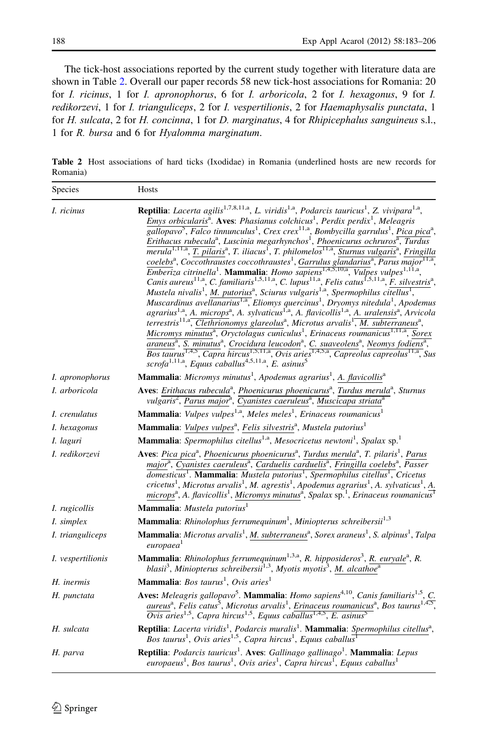<span id="page-5-0"></span>The tick-host associations reported by the current study together with literature data are shown in Table 2. Overall our paper records 58 new tick-host associations for Romania: 20 for I. ricinus, 1 for I. apronophorus, 6 for I. arboricola, 2 for I. hexagonus, 9 for I. redikorzevi, 1 for I. trianguliceps, 2 for I. vespertilionis, 2 for Haemaphysalis punctata, 1 for H. sulcata, 2 for H. concinna, 1 for D. marginatus, 4 for Rhipicephalus sanguineus s.l., 1 for R. bursa and 6 for Hyalomma marginatum.

Table 2 Host associations of hard ticks (Ixodidae) in Romania (underlined hosts are new records for Romania)

| Species                | Hosts                                                                                                                                                                                                                                                                                                                                                                                                                                                                                                                                                                                                                                                                                                                                                                                                                                                                                                                                                                                                                                                                                                                                                                                                                                                                                                                                                                                                                                                                                                                                                                                                                                                                                                                                                                                                                                                                                                                                                                                                                                                                                                                                                                                                                                     |
|------------------------|-------------------------------------------------------------------------------------------------------------------------------------------------------------------------------------------------------------------------------------------------------------------------------------------------------------------------------------------------------------------------------------------------------------------------------------------------------------------------------------------------------------------------------------------------------------------------------------------------------------------------------------------------------------------------------------------------------------------------------------------------------------------------------------------------------------------------------------------------------------------------------------------------------------------------------------------------------------------------------------------------------------------------------------------------------------------------------------------------------------------------------------------------------------------------------------------------------------------------------------------------------------------------------------------------------------------------------------------------------------------------------------------------------------------------------------------------------------------------------------------------------------------------------------------------------------------------------------------------------------------------------------------------------------------------------------------------------------------------------------------------------------------------------------------------------------------------------------------------------------------------------------------------------------------------------------------------------------------------------------------------------------------------------------------------------------------------------------------------------------------------------------------------------------------------------------------------------------------------------------------|
| I. ricinus             | <b>Reptilia</b> : Lacerta agilis <sup>1,7,8,11,a</sup> , L. viridis <sup>1,a</sup> , Podarcis tauricus <sup>1</sup> , Z. vivipara <sup>1,a</sup> ,<br>Emys orbicularis <sup>a</sup> . Aves: Phasianus colchicus <sup>1</sup> , Perdix perdix <sup>1</sup> , Meleagris<br>$\overline{gallopavo^2}$ , Falco tinnunculus <sup>1</sup> , Crex crex <sup>11,a</sup> , Bombycilla garrulus <sup>1</sup> , Pica pica <sup>a</sup> ,<br>Erithacus rubecula <sup>a</sup> , Luscinia megarhynchos <sup>1</sup> , Phoenicurus ochruros <sup>a</sup> , Turdus<br>merula <sup>1,11,a</sup> , T. pilaris <sup>a</sup> , T. iliacus <sup>1</sup> , T. philomelos <sup>11,a</sup> , Sturnus vulgaris <sup>a</sup> , Fringilla<br>coelebs <sup>a</sup> , Coccothraustes coccothraustes <sup>1</sup> , Garrulus glandarius <sup>a</sup> , Parus major <sup>11,a</sup> ,<br>$\overline{Emberiza}$ citrinella <sup>1</sup> . Mammalia: Homo sapiens <sup>1,4,5,10,a</sup> , Vulpes vulpes <sup>1,11,a</sup> ,<br>Canis aureus <sup>11,a</sup> , C. familiaris <sup>1,5,11,a</sup> , C. lupus <sup>11,a</sup> , Felis catus <sup>1,5,11,a</sup> , F. silvestris <sup>a</sup> , Mustela nivalis <sup>1</sup> , <u>M. putorius</u> <sup>a</sup> , Sciurus vulgaris <sup>1,a</sup> , Spermophilus citellus <sup>1</sup> ,<br>Muscardinus avellanarius <sup>1,a</sup> , Eliomys quercinus <sup>1</sup> , Dryomys nitedula <sup>1</sup> , Apodemus<br>agrarius <sup>1,a</sup> , A. microps <sup>a</sup> , A. sylvaticus <sup>1,a</sup> , A. flavicollis <sup>1,a</sup> , A. uralensis <sup>a</sup> , Arvicola<br>terrestris <sup>11,a</sup> , Clethrionomys glareolus <sup>a</sup> , Microtus arvalis <sup>1</sup> , M. subterraneus <sup>a</sup> ,<br>Micromys minutus <sup>a</sup> , Oryctolagus cuniculus <sup>1</sup> , Erinaceus roumanicus <sup>1,11,a</sup> , Sorex<br>araneus <sup>a</sup> , S. minutus <sup>a</sup> , Crocidura leucodon <sup>a</sup> , C. suaveolens <sup>a</sup> , Neomys fodiens <sup>a</sup> ,<br>Bos taurus <sup>1,4,5</sup> , Capra hircus <sup>1,5,11,a</sup> , Ovis aries <sup>1,4,5,a</sup> , Capreolus capreolus <sup>11,a</sup> , Sus<br>scrofa <sup>1,11,a</sup> , Equus caballus <sup>4,5,11,a</sup> , E. asinus <sup>5</sup> |
| <i>I. apronophorus</i> | <b>Mammalia</b> : Micromys minutus <sup>1</sup> , Apodemus agrarius <sup>1</sup> , A. flavicollis <sup>a</sup>                                                                                                                                                                                                                                                                                                                                                                                                                                                                                                                                                                                                                                                                                                                                                                                                                                                                                                                                                                                                                                                                                                                                                                                                                                                                                                                                                                                                                                                                                                                                                                                                                                                                                                                                                                                                                                                                                                                                                                                                                                                                                                                            |
| I. arboricola          | Aves: Erithacus rubecula <sup>a</sup> , Phoenicurus phoenicurus <sup>a</sup> , Turdus merula <sup>a</sup> , Sturnus<br>vulgaris <sup>2</sup> , Parus major <sup>a</sup> , Cyanistes caeruleus <sup>a</sup> , Muscicapa striata <sup>a</sup>                                                                                                                                                                                                                                                                                                                                                                                                                                                                                                                                                                                                                                                                                                                                                                                                                                                                                                                                                                                                                                                                                                                                                                                                                                                                                                                                                                                                                                                                                                                                                                                                                                                                                                                                                                                                                                                                                                                                                                                               |
| I. crenulatus          | <b>Mammalia</b> : Vulpes vulpes <sup>1,a</sup> , Meles meles <sup>1</sup> , Erinaceus roumanicus <sup>1</sup>                                                                                                                                                                                                                                                                                                                                                                                                                                                                                                                                                                                                                                                                                                                                                                                                                                                                                                                                                                                                                                                                                                                                                                                                                                                                                                                                                                                                                                                                                                                                                                                                                                                                                                                                                                                                                                                                                                                                                                                                                                                                                                                             |
| I. hexagonus           | Mammalia: Vulpes vulpes <sup>a</sup> , Felis silvestris <sup>a</sup> , Mustela putorius <sup>1</sup>                                                                                                                                                                                                                                                                                                                                                                                                                                                                                                                                                                                                                                                                                                                                                                                                                                                                                                                                                                                                                                                                                                                                                                                                                                                                                                                                                                                                                                                                                                                                                                                                                                                                                                                                                                                                                                                                                                                                                                                                                                                                                                                                      |
| I. laguri              | Mammalia: Spermophilus citellus <sup>1,a</sup> , Mesocricetus newtoni <sup>1</sup> , Spalax sp. <sup>1</sup>                                                                                                                                                                                                                                                                                                                                                                                                                                                                                                                                                                                                                                                                                                                                                                                                                                                                                                                                                                                                                                                                                                                                                                                                                                                                                                                                                                                                                                                                                                                                                                                                                                                                                                                                                                                                                                                                                                                                                                                                                                                                                                                              |
| I. redikorzevi         | Aves: Pica pica <sup>a</sup> , Phoenicurus phoenicurus <sup>a</sup> , Turdus merula <sup>a</sup> , T. pilaris <sup>1</sup> , Parus<br>major <sup>a</sup> , Cyanistes caeruleus <sup>a</sup> , Carduelis carduelis <sup>a</sup> , Fringilla coelebs <sup>a</sup> , Passer<br>domesticus <sup>1</sup> . Mammalia: Mustela putorius <sup>1</sup> , Spermophilus citellus <sup>1</sup> , Cricetus<br>cricetus <sup>1</sup> , Microtus arvalis <sup>1</sup> , M. agrestis <sup>1</sup> , Apodemus agrarius <sup>1</sup> , A. sylvaticus <sup>1</sup> , A.<br>microps <sup>a</sup> , A. flavicollis <sup>1</sup> , Micromys minutus <sup>a</sup> , Spalax sp. <sup>1</sup> , Erinaceus roumanicus <sup>T</sup>                                                                                                                                                                                                                                                                                                                                                                                                                                                                                                                                                                                                                                                                                                                                                                                                                                                                                                                                                                                                                                                                                                                                                                                                                                                                                                                                                                                                                                                                                                                                  |
| I. rugicollis          | Mammalia: Mustela putorius <sup>1</sup>                                                                                                                                                                                                                                                                                                                                                                                                                                                                                                                                                                                                                                                                                                                                                                                                                                                                                                                                                                                                                                                                                                                                                                                                                                                                                                                                                                                                                                                                                                                                                                                                                                                                                                                                                                                                                                                                                                                                                                                                                                                                                                                                                                                                   |
| <i>I.</i> simplex      | <b>Mammalia</b> : Rhinolophus ferrumequinum <sup>1</sup> , Miniopterus schreibersii <sup>1,3</sup>                                                                                                                                                                                                                                                                                                                                                                                                                                                                                                                                                                                                                                                                                                                                                                                                                                                                                                                                                                                                                                                                                                                                                                                                                                                                                                                                                                                                                                                                                                                                                                                                                                                                                                                                                                                                                                                                                                                                                                                                                                                                                                                                        |
| I. trianguliceps       | Mammalia: Microtus arvalis <sup>1</sup> , M. subterraneus <sup>a</sup> , Sorex araneus <sup>1</sup> , S. alpinus <sup>1</sup> , Talpa<br>europaea <sup>1</sup>                                                                                                                                                                                                                                                                                                                                                                                                                                                                                                                                                                                                                                                                                                                                                                                                                                                                                                                                                                                                                                                                                                                                                                                                                                                                                                                                                                                                                                                                                                                                                                                                                                                                                                                                                                                                                                                                                                                                                                                                                                                                            |
| I. vespertilionis      | <b>Mammalia</b> : Rhinolophus ferrumequinum <sup>1,3,a</sup> , R. hipposideros <sup>3</sup> , R. euryale <sup>a</sup> , R.<br>blasii <sup>3</sup> , Miniopterus schreibersii <sup>1,3</sup> , Myotis myotis <sup>3</sup> , M. alcathoe <sup>a</sup>                                                                                                                                                                                                                                                                                                                                                                                                                                                                                                                                                                                                                                                                                                                                                                                                                                                                                                                                                                                                                                                                                                                                                                                                                                                                                                                                                                                                                                                                                                                                                                                                                                                                                                                                                                                                                                                                                                                                                                                       |
| H. inermis             | <b>Mammalia</b> : Bos taurus <sup>1</sup> , Ovis aries <sup>1</sup>                                                                                                                                                                                                                                                                                                                                                                                                                                                                                                                                                                                                                                                                                                                                                                                                                                                                                                                                                                                                                                                                                                                                                                                                                                                                                                                                                                                                                                                                                                                                                                                                                                                                                                                                                                                                                                                                                                                                                                                                                                                                                                                                                                       |
| H. punctata            | Aves: Meleagris gallopavo <sup>5</sup> . Mammalia: Homo sapiens <sup>4,10</sup> , Canis familiaris <sup>1,5</sup> , C.<br>aureus <sup>a</sup> , Felis catus <sup>5</sup> , Microtus arvalis <sup>1</sup> , Erinaceus roumanicus <sup>a</sup> , Bos taurus <sup>1,4,5</sup> , Ovis aries <sup>1,5</sup> , Capra hircus <sup>1,5</sup> , Equus caballus <sup>1,4,5</sup> , E. asinus <sup>5</sup>                                                                                                                                                                                                                                                                                                                                                                                                                                                                                                                                                                                                                                                                                                                                                                                                                                                                                                                                                                                                                                                                                                                                                                                                                                                                                                                                                                                                                                                                                                                                                                                                                                                                                                                                                                                                                                           |
| H. sulcata             | Reptilia: Lacerta viridis <sup>1</sup> , Podarcis muralis <sup>1</sup> . Mammalia: Spermophilus citellus <sup>a</sup> ,<br>Bos taurus <sup>1</sup> , Ovis aries <sup>1,5</sup> , Capra hircus <sup>1</sup> , Equus caballus <sup>1</sup>                                                                                                                                                                                                                                                                                                                                                                                                                                                                                                                                                                                                                                                                                                                                                                                                                                                                                                                                                                                                                                                                                                                                                                                                                                                                                                                                                                                                                                                                                                                                                                                                                                                                                                                                                                                                                                                                                                                                                                                                  |
| H. parva               | <b>Reptilia:</b> Podarcis tauricus <sup>1</sup> . Aves: Gallinago gallinago <sup>1</sup> . Mammalia: Lepus<br>europaeus <sup>1</sup> , Bos taurus <sup>1</sup> , Ovis aries <sup>1</sup> , Capra hircus <sup>1</sup> , Equus caballus <sup>1</sup>                                                                                                                                                                                                                                                                                                                                                                                                                                                                                                                                                                                                                                                                                                                                                                                                                                                                                                                                                                                                                                                                                                                                                                                                                                                                                                                                                                                                                                                                                                                                                                                                                                                                                                                                                                                                                                                                                                                                                                                        |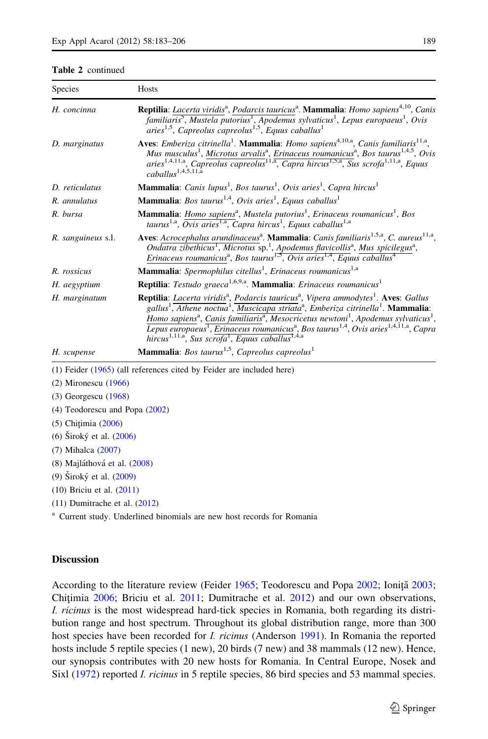#### Table 2 continued

| <b>Species</b>     | <b>Hosts</b>                                                                                                                                                                                                                                                                                                                                                                                                                                                                                                                                                                                                                      |
|--------------------|-----------------------------------------------------------------------------------------------------------------------------------------------------------------------------------------------------------------------------------------------------------------------------------------------------------------------------------------------------------------------------------------------------------------------------------------------------------------------------------------------------------------------------------------------------------------------------------------------------------------------------------|
| H. concinna        | Reptilia: Lacerta viridis <sup>a</sup> , Podarcis tauricus <sup>a</sup> . Mammalia: Homo sapiens <sup>4,10</sup> , Canis<br>familiaris <sup>5</sup> , Mustela putorius <sup>1</sup> , Apodemus sylvaticus <sup>1</sup> , Lepus europaeus <sup>1</sup> , Ovis<br>aries <sup>1,5</sup> , Capreolus capreolus <sup>1,5</sup> , Equus caballus <sup>1</sup>                                                                                                                                                                                                                                                                           |
| D. marginatus      | <b>Aves:</b> Emberiza citrinella <sup>1</sup> . <b>Mammalia</b> : Homo sapiens <sup>4,10,a</sup> , Canis familiaris <sup>11,a</sup> ,<br>Mus musculus <sup>1</sup> , Microtus arvalis <sup>a</sup> , Erinaceus roumanicus <sup>a</sup> , Bos taurus <sup>1,4,5</sup> , Ovis<br>aries <sup>1,4,11,a</sup> , Capreolus capreolus <sup>11,a</sup> , Capra hircus <sup>1,5,a</sup> , Sus scrofa <sup>1,11,a</sup> , Equus<br>$caballus^{1,4,5,11,a}$                                                                                                                                                                                  |
| D. reticulatus     | Mammalia: Canis lupus <sup>1</sup> , Bos taurus <sup>1</sup> , Ovis aries <sup>1</sup> , Capra hircus <sup>1</sup>                                                                                                                                                                                                                                                                                                                                                                                                                                                                                                                |
| R. annulatus       | <b>Mammalia</b> : Bos taurus <sup>1,4</sup> , Ovis aries <sup>1</sup> , Equus caballus <sup>1</sup>                                                                                                                                                                                                                                                                                                                                                                                                                                                                                                                               |
| R. bursa           | Mammalia: Homo sapiens <sup>a</sup> , Mustela putorius <sup>1</sup> , Erinaceus roumanicus <sup>1</sup> , Bos<br>taurus <sup>1,a</sup> , Ovis aries <sup>1,a</sup> , Capra hircus <sup>1</sup> , Equus caballus <sup>1,a</sup>                                                                                                                                                                                                                                                                                                                                                                                                    |
| R. sanguineus s.l. | Aves: Acrocephalus arundinaceus <sup>a</sup> . Mammalia: Canis familiaris <sup>1,5,a</sup> , C. aureus <sup>11,a</sup> ,<br>Ondatra zibethicus <sup>1</sup> , Microtus sp. <sup>1</sup> , Apodemus flavicollis <sup>a</sup> , Mus spicilegus <sup>a</sup> ,<br>Erinaceus roumanicus <sup>a</sup> , Bos taurus <sup>1,5</sup> , Ovis aries <sup>1,4</sup> , Equus caballus <sup>4</sup>                                                                                                                                                                                                                                            |
| R. rossicus        | <b>Mammalia</b> : Spermophilus citellus <sup>1</sup> , Erinaceus roumanicus <sup>1,a</sup>                                                                                                                                                                                                                                                                                                                                                                                                                                                                                                                                        |
| H. aegyptium       | Reptilia: Testudo graeca <sup>1,6,9,a</sup> . Mammalia: Erinaceus roumanicus <sup>1</sup>                                                                                                                                                                                                                                                                                                                                                                                                                                                                                                                                         |
| H. marginatum      | Reptilia: Lacerta viridis <sup>a</sup> , Podarcis tauricus <sup>a</sup> , Vipera ammodytes <sup>1</sup> . Aves: Gallus<br>gallus <sup>1</sup> , Athene noctua <sup>1</sup> , Muscicapa striata <sup>a</sup> , Emberiza citrinella <sup>1</sup> . Mammalia:<br>Homo sapiens <sup>a</sup> , Canis familiaris <sup>a</sup> , Mesocricetus newtoni <sup>1</sup> , Apodemus sylvaticus <sup>1</sup> ,<br>Lepus europaeus <sup>1</sup> , Erinaceus roumanicus <sup>a</sup> , Bos taurus <sup>1,4</sup> , Ovis aries <sup>1,4,11,a</sup> , Capra<br>hircus <sup>1,11,a</sup> , Sus scrofa <sup>1</sup> , Equus caballus <sup>1,4,a</sup> |
| H. scupense        | <b>Mammalia:</b> Bos taurus <sup>1,5</sup> , Capreolus capreolus <sup>1</sup>                                                                                                                                                                                                                                                                                                                                                                                                                                                                                                                                                     |

(1) Feider [\(1965](#page-21-0)) (all references cited by Feider are included here)

(2) Mironescu [\(1966\)](#page-22-0)

(3) Georgescu [\(1968\)](#page-21-0)

- (4) Teodorescu and Popa ([2002\)](#page-23-0)
- (5) Chițimia [\(2006\)](#page-21-0)
- (6)  $\text{Široký et al.} (2006)$  $\text{Široký et al.} (2006)$
- (7) Mihalca [\(2007](#page-22-0))
- (8) Majláthová et al. [\(2008](#page-22-0))
- (9)  $\text{Široký et al.} (2009)$  $\text{Široký et al.} (2009)$

(10) Briciu et al. ([2011\)](#page-21-0)

(11) Dumitrache et al. ([2012](#page-21-0))

<sup>a</sup> Current study. Underlined binomials are new host records for Romania

### **Discussion**

According to the literature review (Feider [1965](#page-21-0); Teodorescu and Popa [2002](#page-23-0); Ionită [2003;](#page-22-0) Chitimia  $2006$ ; Briciu et al.  $2011$ ; Dumitrache et al.  $2012$ ) and our own observations, I. ricinus is the most widespread hard-tick species in Romania, both regarding its distribution range and host spectrum. Throughout its global distribution range, more than 300 host species have been recorded for *I. ricinus* (Anderson [1991\)](#page-21-0). In Romania the reported hosts include 5 reptile species (1 new), 20 birds (7 new) and 38 mammals (12 new). Hence, our synopsis contributes with 20 new hosts for Romania. In Central Europe, Nosek and Sixl ([1972\)](#page-22-0) reported *I. ricinus* in 5 reptile species, 86 bird species and 53 mammal species.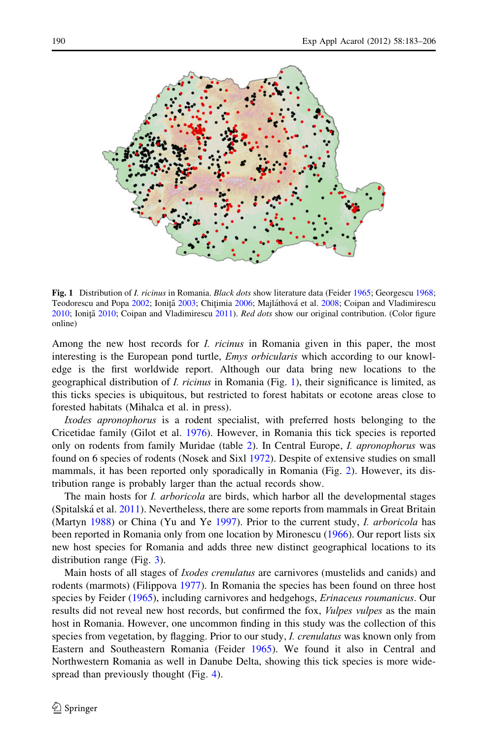

Fig. 1 Distribution of *I. ricinus* in Romania. *Black dots* show literature data (Feider [1965](#page-21-0); Georgescu [1968](#page-21-0); Teodorescu and Popa [2002;](#page-23-0) Ionită [2003](#page-22-0); Chitimia [2006](#page-21-0); Majláthová et al. [2008](#page-22-0); Coipan and Vladimirescu [2010;](#page-21-0) Ioniță [2010](#page-22-0); Coipan and Vladimirescu [2011\)](#page-21-0). Red dots show our original contribution. (Color figure online)

Among the new host records for *I. ricinus* in Romania given in this paper, the most interesting is the European pond turtle, *Emys orbicularis* which according to our knowledge is the first worldwide report. Although our data bring new locations to the geographical distribution of I. ricinus in Romania (Fig. 1), their significance is limited, as this ticks species is ubiquitous, but restricted to forest habitats or ecotone areas close to forested habitats (Mihalca et al. in press).

Ixodes apronophorus is a rodent specialist, with preferred hosts belonging to the Cricetidae family (Gilot et al. [1976](#page-21-0)). However, in Romania this tick species is reported only on rodents from family Muridae (table [2](#page-5-0)). In Central Europe, I. apronophorus was found on 6 species of rodents (Nosek and Sixl [1972](#page-22-0)). Despite of extensive studies on small mammals, it has been reported only sporadically in Romania (Fig. [2](#page-8-0)). However, its distribution range is probably larger than the actual records show.

The main hosts for *I. arboricola* are birds, which harbor all the developmental stages (Spitalská et al.  $2011$ ). Nevertheless, there are some reports from mammals in Great Britain (Martyn [1988](#page-22-0)) or China (Yu and Ye [1997](#page-23-0)). Prior to the current study, I. arboricola has been reported in Romania only from one location by Mironescu ([1966\)](#page-22-0). Our report lists six new host species for Romania and adds three new distinct geographical locations to its distribution range (Fig. [3\)](#page-8-0).

Main hosts of all stages of *Ixodes crenulatus* are carnivores (mustelids and canids) and rodents (marmots) (Filippova [1977](#page-21-0)). In Romania the species has been found on three host species by Feider ([1965\)](#page-21-0), including carnivores and hedgehogs, Erinaceus roumanicus. Our results did not reveal new host records, but confirmed the fox, *Vulpes vulpes* as the main host in Romania. However, one uncommon finding in this study was the collection of this species from vegetation, by flagging. Prior to our study, *I. crenulatus* was known only from Eastern and Southeastern Romania (Feider [1965](#page-21-0)). We found it also in Central and Northwestern Romania as well in Danube Delta, showing this tick species is more wide-spread than previously thought (Fig. [4](#page-9-0)).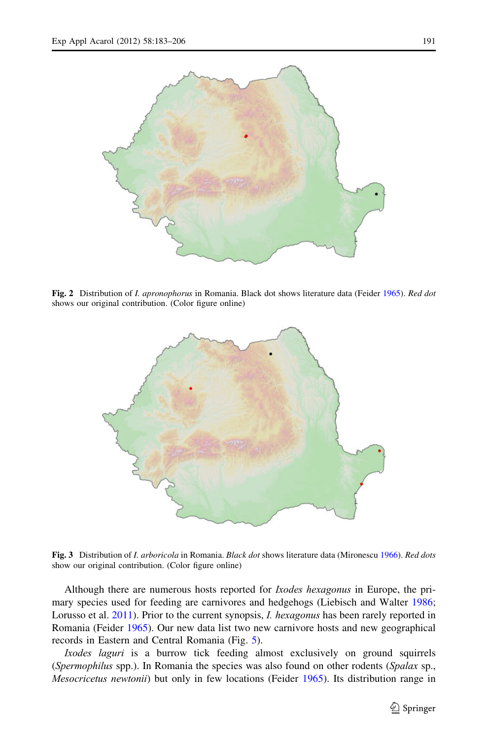<span id="page-8-0"></span>

Fig. 2 Distribution of *I. apronophorus* in Romania. Black dot shows literature data (Feider [1965\)](#page-21-0). Red dot shows our original contribution. (Color figure online)



Fig. 3 Distribution of I. arboricola in Romania. Black dot shows literature data (Mironescu [1966](#page-22-0)). Red dots show our original contribution. (Color figure online)

Although there are numerous hosts reported for Ixodes hexagonus in Europe, the primary species used for feeding are carnivores and hedgehogs (Liebisch and Walter [1986;](#page-22-0) Lorusso et al. [2011\)](#page-22-0). Prior to the current synopsis, *I. hexagonus* has been rarely reported in Romania (Feider [1965](#page-21-0)). Our new data list two new carnivore hosts and new geographical records in Eastern and Central Romania (Fig. [5](#page-9-0)).

Ixodes laguri is a burrow tick feeding almost exclusively on ground squirrels (Spermophilus spp.). In Romania the species was also found on other rodents (Spalax sp., Mesocricetus newtonii) but only in few locations (Feider [1965](#page-21-0)). Its distribution range in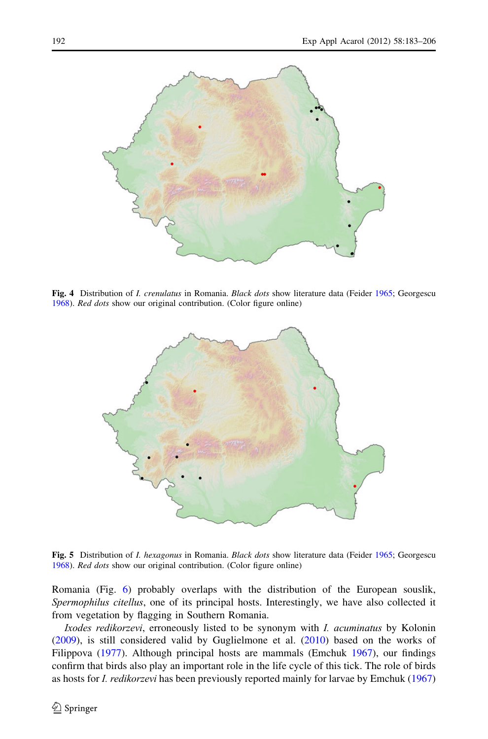<span id="page-9-0"></span>

Fig. 4 Distribution of *I. crenulatus* in Romania. *Black dots* show literature data (Feider [1965;](#page-21-0) Georgescu [1968\)](#page-21-0). Red dots show our original contribution. (Color figure online)



Fig. 5 Distribution of *I. hexagonus* in Romania. Black dots show literature data (Feider [1965;](#page-21-0) Georgescu [1968\)](#page-21-0). Red dots show our original contribution. (Color figure online)

Romania (Fig. [6](#page-10-0)) probably overlaps with the distribution of the European souslik, Spermophilus citellus, one of its principal hosts. Interestingly, we have also collected it from vegetation by flagging in Southern Romania.

Ixodes redikorzevi, erroneously listed to be synonym with I. acuminatus by Kolonin ([2009\)](#page-22-0), is still considered valid by Guglielmone et al. [\(2010](#page-22-0)) based on the works of Filippova [\(1977](#page-21-0)). Although principal hosts are mammals (Emchuk [1967\)](#page-21-0), our findings confirm that birds also play an important role in the life cycle of this tick. The role of birds as hosts for I. redikorzevi has been previously reported mainly for larvae by Emchuk ([1967](#page-21-0))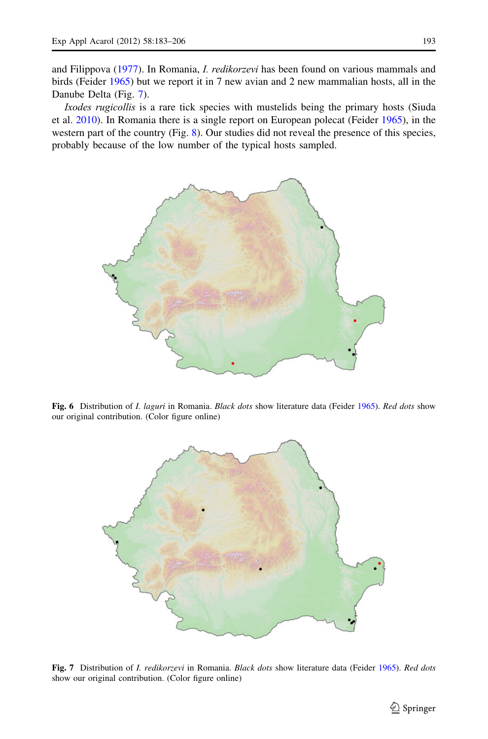<span id="page-10-0"></span>and Filippova ([1977](#page-21-0)). In Romania, I. redikorzevi has been found on various mammals and birds (Feider [1965](#page-21-0)) but we report it in 7 new avian and 2 new mammalian hosts, all in the Danube Delta (Fig. 7).

Ixodes rugicollis is a rare tick species with mustelids being the primary hosts (Siuda et al. [2010](#page-23-0)). In Romania there is a single report on European polecat (Feider [1965\)](#page-21-0), in the western part of the country (Fig. [8](#page-11-0)). Our studies did not reveal the presence of this species, probably because of the low number of the typical hosts sampled.



Fig. 6 Distribution of *I. laguri* in Romania. Black dots show literature data (Feider [1965\)](#page-21-0). Red dots show our original contribution. (Color figure online)



Fig. 7 Distribution of *I. redikorzevi* in Romania. Black dots show literature data (Feider [1965\)](#page-21-0). Red dots show our original contribution. (Color figure online)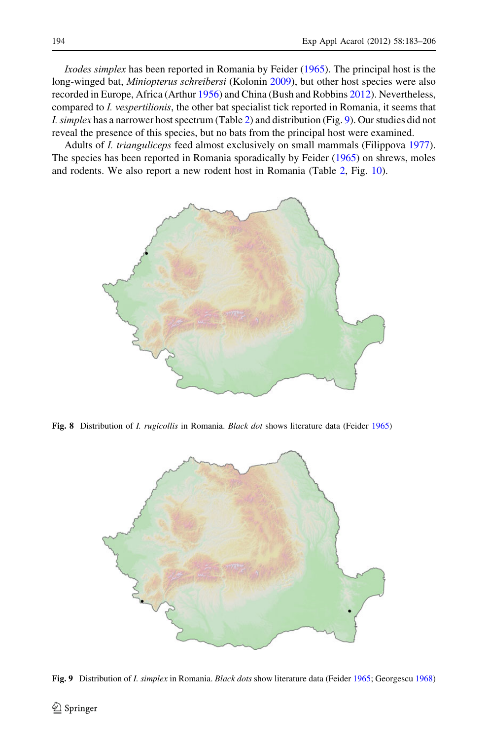<span id="page-11-0"></span>Ixodes simplex has been reported in Romania by Feider ([1965\)](#page-21-0). The principal host is the long-winged bat, *Miniopterus schreibersi* (Kolonin [2009](#page-22-0)), but other host species were also recorded in Europe, Africa (Arthur [1956](#page-21-0)) and China (Bush and Robbins [2012](#page-21-0)). Nevertheless, compared to I. vespertilionis, the other bat specialist tick reported in Romania, it seems that I. simplex has a narrower host spectrum (Table [2](#page-5-0)) and distribution (Fig. 9). Our studies did not reveal the presence of this species, but no bats from the principal host were examined.

Adults of I. trianguliceps feed almost exclusively on small mammals (Filippova [1977](#page-21-0)). The species has been reported in Romania sporadically by Feider [\(1965\)](#page-21-0) on shrews, moles and rodents. We also report a new rodent host in Romania (Table [2,](#page-5-0) Fig. [10](#page-12-0)).



Fig. 8 Distribution of I. rugicollis in Romania. Black dot shows literature data (Feider [1965\)](#page-21-0)



Fig. 9 Distribution of *I. simplex* in Romania. Black dots show literature data (Feider [1965](#page-21-0); Georgescu [1968\)](#page-21-0)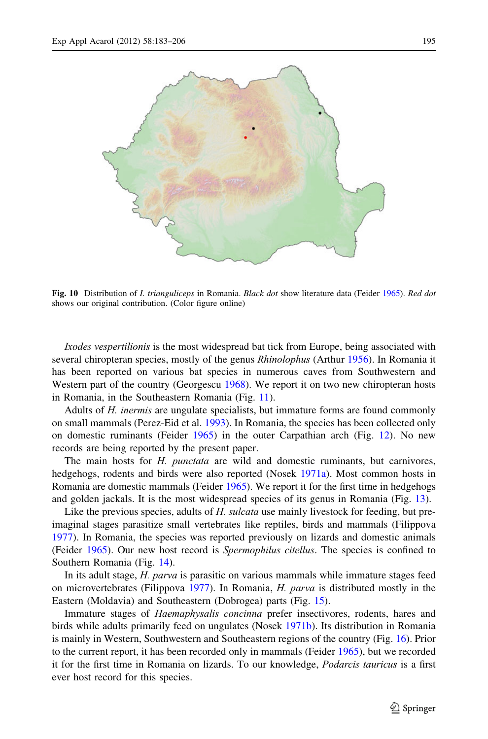<span id="page-12-0"></span>

Fig. 10 Distribution of *I. trianguliceps* in Romania. Black dot show literature data (Feider [1965](#page-21-0)). Red dot shows our original contribution. (Color figure online)

Ixodes vespertilionis is the most widespread bat tick from Europe, being associated with several chiropteran species, mostly of the genus *Rhinolophus* (Arthur [1956\)](#page-21-0). In Romania it has been reported on various bat species in numerous caves from Southwestern and Western part of the country (Georgescu [1968](#page-21-0)). We report it on two new chiropteran hosts in Romania, in the Southeastern Romania (Fig. [11\)](#page-13-0).

Adults of H. inermis are ungulate specialists, but immature forms are found commonly on small mammals (Perez-Eid et al. [1993](#page-22-0)). In Romania, the species has been collected only on domestic ruminants (Feider [1965\)](#page-21-0) in the outer Carpathian arch (Fig. [12\)](#page-13-0). No new records are being reported by the present paper.

The main hosts for H. punctata are wild and domestic ruminants, but carnivores, hedgehogs, rodents and birds were also reported (Nosek [1971a\)](#page-22-0). Most common hosts in Romania are domestic mammals (Feider [1965](#page-21-0)). We report it for the first time in hedgehogs and golden jackals. It is the most widespread species of its genus in Romania (Fig. [13](#page-14-0)).

Like the previous species, adults of H. sulcata use mainly livestock for feeding, but preimaginal stages parasitize small vertebrates like reptiles, birds and mammals (Filippova [1977\)](#page-21-0). In Romania, the species was reported previously on lizards and domestic animals (Feider [1965\)](#page-21-0). Our new host record is *Spermophilus citellus*. The species is confined to Southern Romania (Fig. [14](#page-14-0)).

In its adult stage, *H. parva* is parasitic on various mammals while immature stages feed on microvertebrates (Filippova [1977\)](#page-21-0). In Romania, H. parva is distributed mostly in the Eastern (Moldavia) and Southeastern (Dobrogea) parts (Fig. [15](#page-15-0)).

Immature stages of Haemaphysalis concinna prefer insectivores, rodents, hares and birds while adults primarily feed on ungulates (Nosek [1971b\)](#page-22-0). Its distribution in Romania is mainly in Western, Southwestern and Southeastern regions of the country (Fig. [16\)](#page-15-0). Prior to the current report, it has been recorded only in mammals (Feider [1965](#page-21-0)), but we recorded it for the first time in Romania on lizards. To our knowledge, Podarcis tauricus is a first ever host record for this species.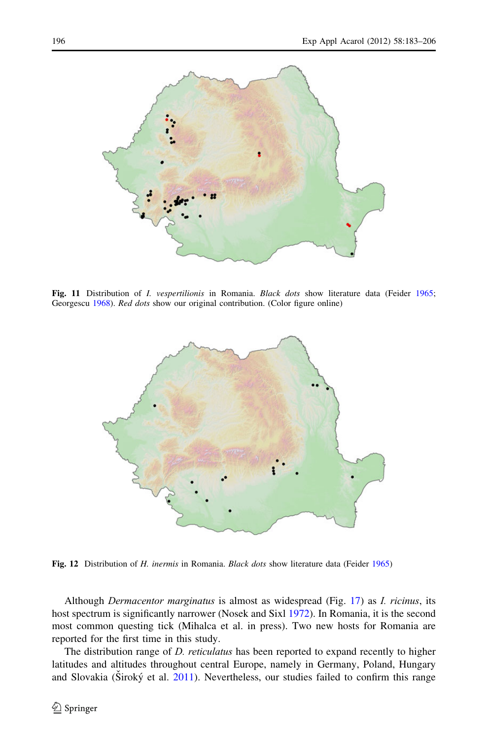<span id="page-13-0"></span>

Fig. 11 Distribution of *I. vespertilionis* in Romania. *Black dots* show literature data (Feider [1965](#page-21-0); Georgescu [1968](#page-21-0)). Red dots show our original contribution. (Color figure online)



Fig. 12 Distribution of H. inermis in Romania. Black dots show literature data (Feider [1965\)](#page-21-0)

Although *Dermacentor marginatus* is almost as widespread (Fig. [17\)](#page-16-0) as *I. ricinus*, its host spectrum is significantly narrower (Nosek and Sixl [1972\)](#page-22-0). In Romania, it is the second most common questing tick (Mihalca et al. in press). Two new hosts for Romania are reported for the first time in this study.

The distribution range of *D. reticulatus* has been reported to expand recently to higher latitudes and altitudes throughout central Europe, namely in Germany, Poland, Hungary and Slovakia (Široký et al. [2011\)](#page-23-0). Nevertheless, our studies failed to confirm this range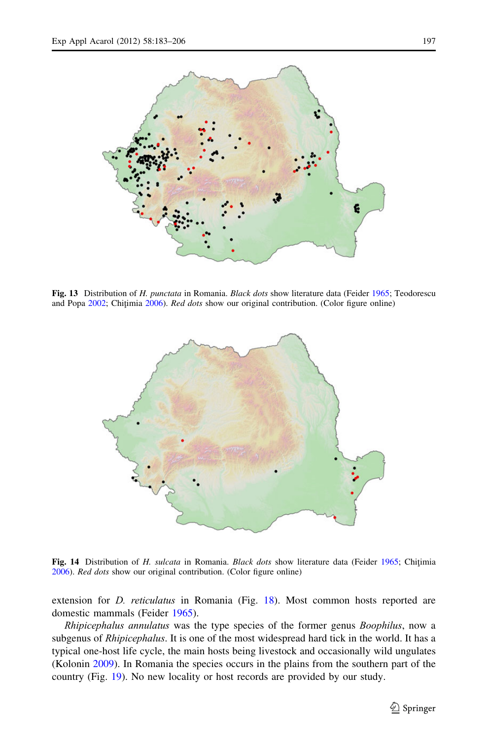<span id="page-14-0"></span>

Fig. 13 Distribution of H. punctata in Romania. Black dots show literature data (Feider [1965;](#page-21-0) Teodorescu and Popa [2002](#page-23-0); Chițimia [2006\)](#page-21-0). Red dots show our original contribution. (Color figure online)



Fig. 14 Distribution of H. *sulcata* in Romania. *Black dots* show literature data (Feider [1965](#page-21-0); Chitimia [2006\)](#page-21-0). Red dots show our original contribution. (Color figure online)

extension for *D. reticulatus* in Romania (Fig. [18](#page-16-0)). Most common hosts reported are domestic mammals (Feider [1965\)](#page-21-0).

Rhipicephalus annulatus was the type species of the former genus Boophilus, now a subgenus of *Rhipicephalus*. It is one of the most widespread hard tick in the world. It has a typical one-host life cycle, the main hosts being livestock and occasionally wild ungulates (Kolonin [2009\)](#page-22-0). In Romania the species occurs in the plains from the southern part of the country (Fig. [19\)](#page-17-0). No new locality or host records are provided by our study.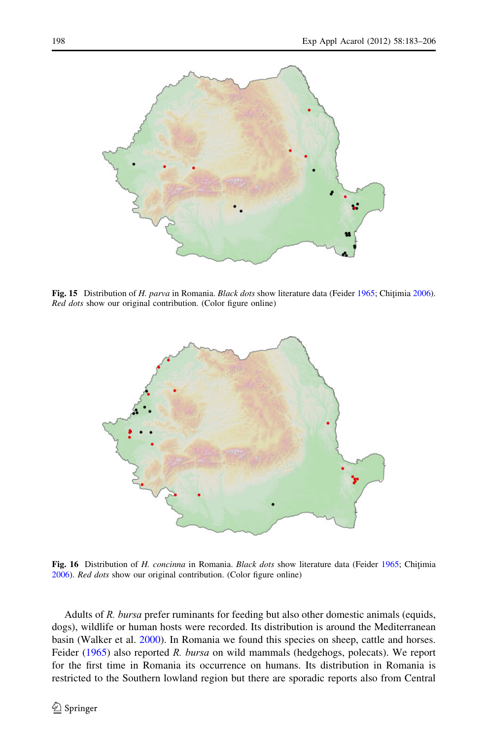<span id="page-15-0"></span>

Fig. 15 Distribution of H. parva in Romania. Black dots show literature data (Feider [1965;](#page-21-0) Chitimia [2006\)](#page-21-0). Red dots show our original contribution. (Color figure online)



Fig. 16 Distribution of H. concinna in Romania. Black dots show literature data (Feider [1965](#page-21-0); Chitimia [2006\)](#page-21-0). Red dots show our original contribution. (Color figure online)

Adults of R. bursa prefer ruminants for feeding but also other domestic animals (equids, dogs), wildlife or human hosts were recorded. Its distribution is around the Mediterranean basin (Walker et al. [2000\)](#page-23-0). In Romania we found this species on sheep, cattle and horses. Feider [\(1965](#page-21-0)) also reported R. bursa on wild mammals (hedgehogs, polecats). We report for the first time in Romania its occurrence on humans. Its distribution in Romania is restricted to the Southern lowland region but there are sporadic reports also from Central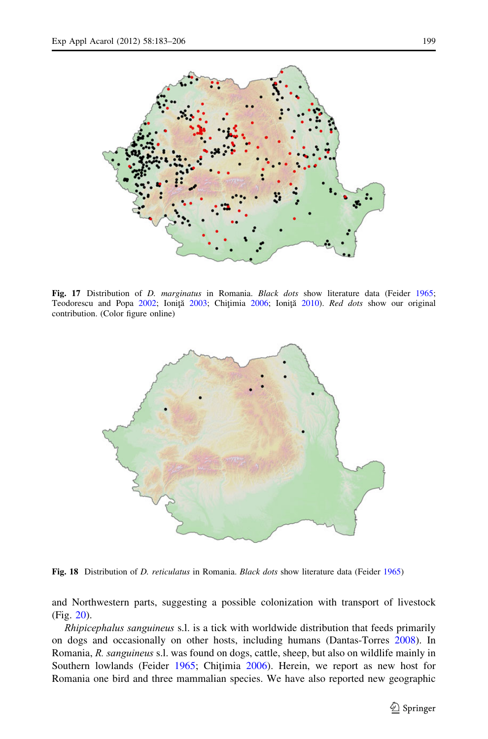<span id="page-16-0"></span>

Fig. 17 Distribution of *D. marginatus* in Romania. *Black dots* show literature data (Feider [1965](#page-21-0); Teodorescu and Popa [2002;](#page-23-0) Ioniță [2003;](#page-22-0) Chițimia [2006;](#page-21-0) Ioniță [2010\)](#page-22-0). Red dots show our original contribution. (Color figure online)



Fig. 18 Distribution of D. reticulatus in Romania. Black dots show literature data (Feider [1965](#page-21-0))

and Northwestern parts, suggesting a possible colonization with transport of livestock (Fig. [20](#page-17-0)).

Rhipicephalus sanguineus s.l. is a tick with worldwide distribution that feeds primarily on dogs and occasionally on other hosts, including humans (Dantas-Torres [2008\)](#page-21-0). In Romania, R. sanguineus s.l. was found on dogs, cattle, sheep, but also on wildlife mainly in Southern lowlands (Feider [1965](#page-21-0); Chitimia [2006\)](#page-21-0). Herein, we report as new host for Romania one bird and three mammalian species. We have also reported new geographic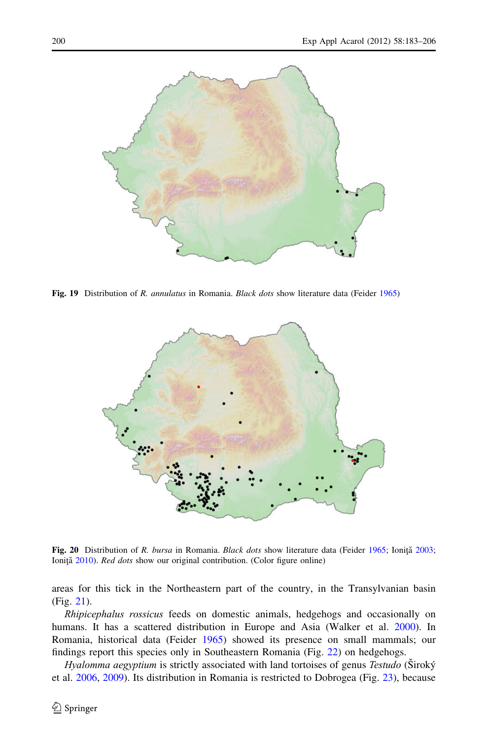<span id="page-17-0"></span>

Fig. 19 Distribution of R. *annulatus* in Romania. *Black dots* show literature data (Feider [1965\)](#page-21-0)



Fig. 20 Distribution of R. bursa in Romania. Black dots show literature data (Feider [1965;](#page-21-0) Ioniță [2003](#page-22-0); Ioniță [2010\)](#page-22-0). Red dots show our original contribution. (Color figure online)

areas for this tick in the Northeastern part of the country, in the Transylvanian basin (Fig. [21](#page-18-0)).

Rhipicephalus rossicus feeds on domestic animals, hedgehogs and occasionally on humans. It has a scattered distribution in Europe and Asia (Walker et al. [2000](#page-23-0)). In Romania, historical data (Feider [1965](#page-21-0)) showed its presence on small mammals; our findings report this species only in Southeastern Romania (Fig. [22](#page-18-0)) on hedgehogs.

Hyalomma aegyptium is strictly associated with land tortoises of genus Testudo (Siroký et al. [2006](#page-22-0), [2009\)](#page-22-0). Its distribution in Romania is restricted to Dobrogea (Fig. [23](#page-19-0)), because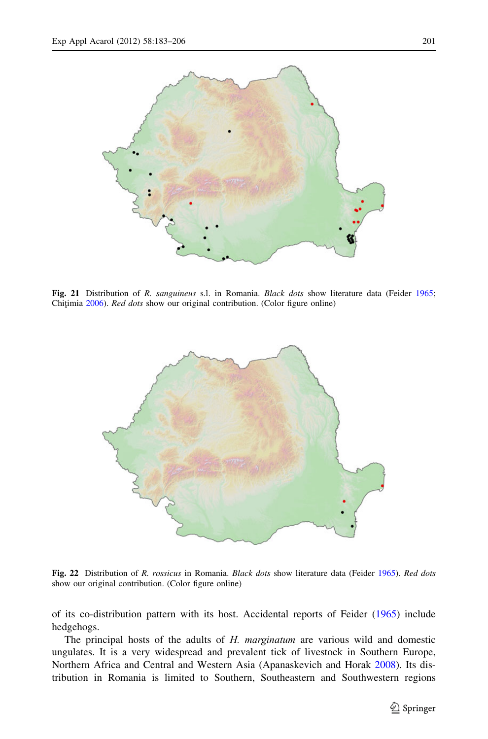<span id="page-18-0"></span>

Fig. 21 Distribution of R. *sanguineus* s.l. in Romania. *Black dots* show literature data (Feider [1965](#page-21-0); Chițimia [2006](#page-21-0)). Red dots show our original contribution. (Color figure online)



Fig. 22 Distribution of R. rossicus in Romania. Black dots show literature data (Feider [1965](#page-21-0)). Red dots show our original contribution. (Color figure online)

of its co-distribution pattern with its host. Accidental reports of Feider [\(1965](#page-21-0)) include hedgehogs.

The principal hosts of the adults of H. marginatum are various wild and domestic ungulates. It is a very widespread and prevalent tick of livestock in Southern Europe, Northern Africa and Central and Western Asia (Apanaskevich and Horak [2008\)](#page-21-0). Its distribution in Romania is limited to Southern, Southeastern and Southwestern regions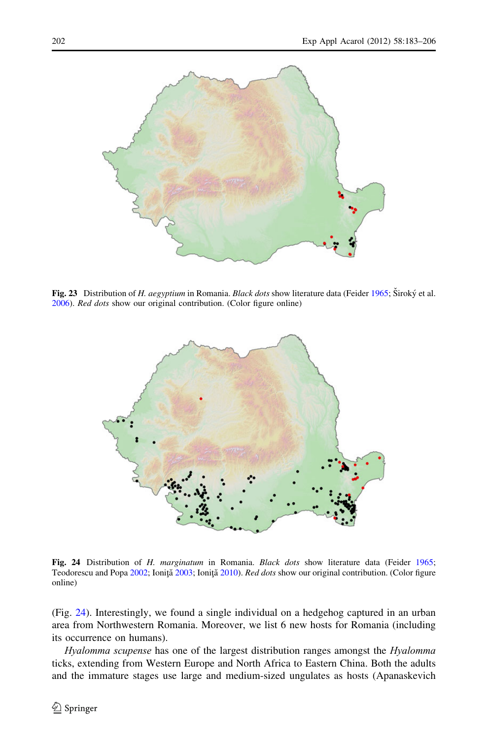<span id="page-19-0"></span>

Fig. 23 Distribution of H. aegyptium in Romania. Black dots show literature data (Feider [1965](#page-21-0); Široký et al. [2006\)](#page-22-0). Red dots show our original contribution. (Color figure online)



Fig. 24 Distribution of H. marginatum in Romania. Black dots show literature data (Feider [1965](#page-21-0); Teodorescu and Popa [2002](#page-23-0); Ioniță [2003;](#page-22-0) Ioniță [2010](#page-22-0)). Red dots show our original contribution. (Color figure online)

(Fig. 24). Interestingly, we found a single individual on a hedgehog captured in an urban area from Northwestern Romania. Moreover, we list 6 new hosts for Romania (including its occurrence on humans).

Hyalomma scupense has one of the largest distribution ranges amongst the Hyalomma ticks, extending from Western Europe and North Africa to Eastern China. Both the adults and the immature stages use large and medium-sized ungulates as hosts (Apanaskevich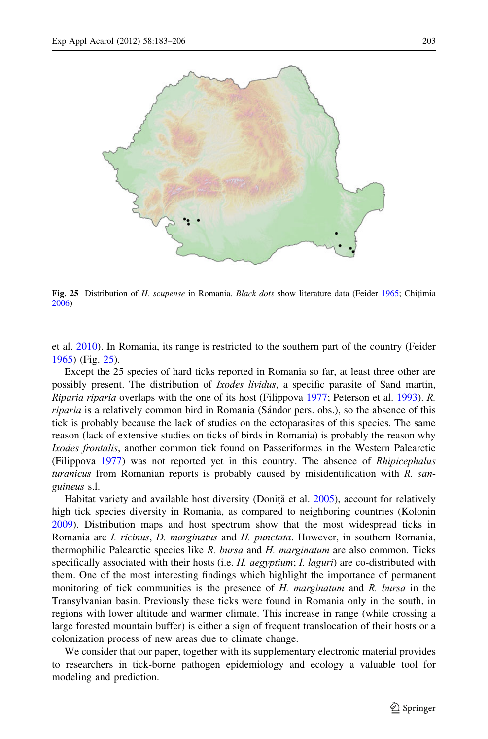

Fig. 25 Distribution of H. scupense in Romania. Black dots show literature data (Feider [1965](#page-21-0); Chitimia [2006\)](#page-21-0)

et al. [2010\)](#page-21-0). In Romania, its range is restricted to the southern part of the country (Feider [1965\)](#page-21-0) (Fig. 25).

Except the 25 species of hard ticks reported in Romania so far, at least three other are possibly present. The distribution of Ixodes lividus, a specific parasite of Sand martin, Riparia riparia overlaps with the one of its host (Filippova [1977;](#page-21-0) Peterson et al. [1993](#page-22-0)). R. riparia is a relatively common bird in Romania (Sándor pers. obs.), so the absence of this tick is probably because the lack of studies on the ectoparasites of this species. The same reason (lack of extensive studies on ticks of birds in Romania) is probably the reason why Ixodes frontalis, another common tick found on Passeriformes in the Western Palearctic (Filippova [1977\)](#page-21-0) was not reported yet in this country. The absence of Rhipicephalus turanicus from Romanian reports is probably caused by misidentification with R. sanguineus s.l.

Habitat variety and available host diversity (Donita et al.  $2005$ ), account for relatively high tick species diversity in Romania, as compared to neighboring countries (Kolonin [2009\)](#page-22-0). Distribution maps and host spectrum show that the most widespread ticks in Romania are *I. ricinus, D. marginatus* and *H. punctata*. However, in southern Romania, thermophilic Palearctic species like R. bursa and H. marginatum are also common. Ticks specifically associated with their hosts (i.e. H. aegyptium; I. laguri) are co-distributed with them. One of the most interesting findings which highlight the importance of permanent monitoring of tick communities is the presence of H. marginatum and R. bursa in the Transylvanian basin. Previously these ticks were found in Romania only in the south, in regions with lower altitude and warmer climate. This increase in range (while crossing a large forested mountain buffer) is either a sign of frequent translocation of their hosts or a colonization process of new areas due to climate change.

We consider that our paper, together with its supplementary electronic material provides to researchers in tick-borne pathogen epidemiology and ecology a valuable tool for modeling and prediction.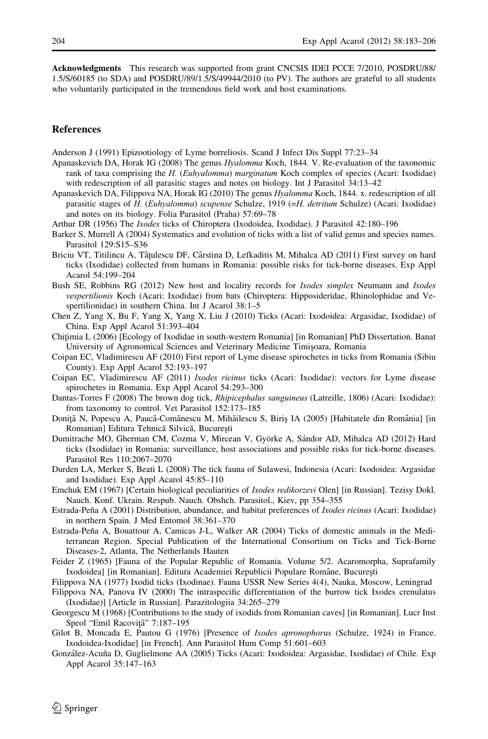<span id="page-21-0"></span>Acknowledgments This research was supported from grant CNCSIS IDEI PCCE 7/2010, POSDRU/88/ 1.5/S/60185 (to SDA) and POSDRU/89/1.5/S/49944/2010 (to PV). The authors are grateful to all students who voluntarily participated in the tremendous field work and host examinations.

## References

Anderson J (1991) Epizootiology of Lyme borreliosis. Scand J Infect Dis Suppl 77:23–34

- Apanaskevich DA, Horak IG (2008) The genus Hyalomma Koch, 1844. V. Re-evaluation of the taxonomic rank of taxa comprising the H. (Euhyalomma) marginatum Koch complex of species (Acari: Ixodidae) with redescription of all parasitic stages and notes on biology. Int J Parasitol 34:13–42
- Apanaskevich DA, Filippova NA, Horak IG (2010) The genus Hyalomma Koch, 1844. x. redescription of all parasitic stages of H. (Euhyalomma) scupense Schulze, 1919 (=H. detritum Schulze) (Acari: Ixodidae) and notes on its biology. Folia Parasitol (Praha) 57:69–78
- Arthur DR (1956) The Ixodes ticks of Chiroptera (Ixodoidea, Ixodidae). J Parasitol 42:180–196
- Barker S, Murrell A (2004) Systematics and evolution of ticks with a list of valid genus and species names. Parasitol 129:S15–S36
- Briciu VT, Titilincu A, Tătulescu DF, Cârstina D, Lefkaditis M, Mihalca AD (2011) First survey on hard ticks (Ixodidae) collected from humans in Romania: possible risks for tick-borne diseases. Exp Appl Acarol 54:199–204
- Bush SE, Robbins RG (2012) New host and locality records for *Ixodes simplex* Neumann and *Ixodes* vespertilionis Koch (Acari: Ixodidae) from bats (Chiroptera: Hipposideridae, Rhinolophidae and Vespertilionidae) in southern China. Int J Acarol 38:1–5
- Chen Z, Yang X, Bu F, Yang X, Yang X, Liu J (2010) Ticks (Acari: Ixodoidea: Argasidae, Ixodidae) of China. Exp Appl Acarol 51:393–404
- Chițimia L (2006) [Ecology of Ixodidae in south-western Romania] [in Romanian] PhD Dissertation. Banat University of Agronomical Sciences and Veterinary Medicine Timișoara, Romania
- Coipan EC, Vladimirescu AF (2010) First report of Lyme disease spirochetes in ticks from Romania (Sibiu County). Exp Appl Acarol 52:193–197
- Coipan EC, Vladimirescu AF (2011) Ixodes ricinus ticks (Acari: Ixodidae): vectors for Lyme disease spirochetes in Romania. Exp Appl Acarol 54:293–300
- Dantas-Torres F (2008) The brown dog tick, Rhipicephalus sanguineus (Latreille, 1806) (Acari: Ixodidae): from taxonomy to control. Vet Parasitol 152:173–185
- Doniță N, Popescu A, Paucă-Comănescu M, Mihăilescu S, Biriș IA (2005) [Habitatele din România] [in Romanian] Editura Tehnică Silvică, București
- Dumitrache MO, Gherman CM, Cozma V, Mircean V, Györke A, Sándor AD, Mihalca AD (2012) Hard ticks (Ixodidae) in Romania: surveillance, host associations and possible risks for tick-borne diseases. Parasitol Res 110:2067–2070
- Durden LA, Merker S, Beati L (2008) The tick fauna of Sulawesi, Indonesia (Acari: Ixodoidea: Argasidae and Ixodidae). Exp Appl Acarol 45:85–110
- Emchuk EM (1967) [Certain biological peculiarities of *Ixodes redikorzevi* Olen] [in Russian]. Tezisy Dokl. Nauch. Konf. Ukrain. Respub. Nauch. Obshch. Parasitol., Kiev, pp 354–355
- Estrada-Peña A (2001) Distribution, abundance, and habitat preferences of *Ixodes ricinus* (Acari: Ixodidae) in northern Spain. J Med Entomol 38:361–370
- Estrada-Peña A, Bouattour A, Camicas J-L, Walker AR (2004) Ticks of domestic animals in the Mediterranean Region. Special Publication of the International Consortium on Ticks and Tick-Borne Diseases-2, Atlanta, The Netherlands Hauten
- Feider Z (1965) [Fauna of the Popular Republic of Romania. Volume 5/2. Acaromorpha, Suprafamily Ixodoidea] [in Romanian]. Editura Academiei Republicii Populare Române, București

Filippova NA (1977) Ixodid ticks (Ixodinae). Fauna USSR New Series 4(4), Nauka, Moscow, Leningrad

- Filippova NA, Panova IV (2000) The intraspecific differentiation of the burrow tick Ixodes crenulatus (Ixodidae)] [Article in Russian]. Parazitologiia 34:265–279
- Georgescu M (1968) [Contributions to the study of ixodids from Romanian caves] [in Romanian]. Lucr Inst Speol "Emil Racoviță" 7:187-195
- Gilot B, Moncada E, Pautou G (1976) [Presence of *Ixodes apronophorus* (Schulze, 1924) in France. Ixodoidea-Ixodidae] [in French]. Ann Parasitol Hum Comp 51:601–603
- González-Acuña D, Guglielmone AA (2005) Ticks (Acari: Ixodoidea: Argasidae, Ixodidae) of Chile. Exp Appl Acarol 35:147–163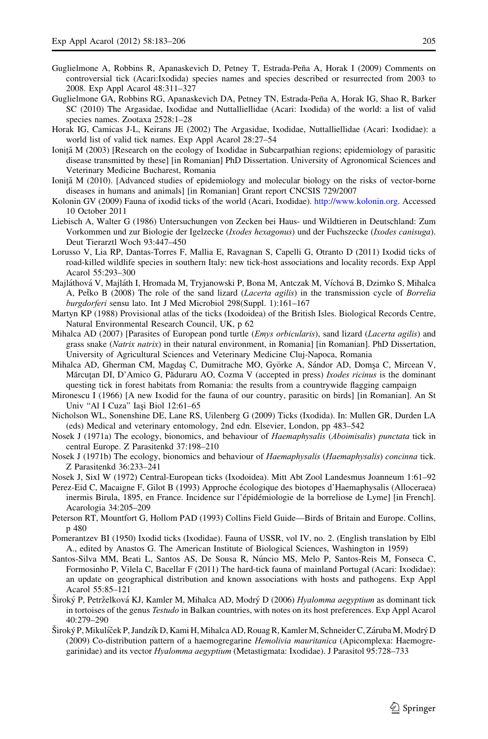- <span id="page-22-0"></span>Guglielmone A, Robbins R, Apanaskevich D, Petney T, Estrada-Peña A, Horak I (2009) Comments on controversial tick (Acari:Ixodida) species names and species described or resurrected from 2003 to 2008. Exp Appl Acarol 48:311–327
- Guglielmone GA, Robbins RG, Apanaskevich DA, Petney TN, Estrada-Peña A, Horak IG, Shao R, Barker SC (2010) The Argasidae, Ixodidae and Nuttalliellidae (Acari: Ixodida) of the world: a list of valid species names. Zootaxa 2528:1–28
- Horak IG, Camicas J-L, Keirans JE (2002) The Argasidae, Ixodidae, Nuttalliellidae (Acari: Ixodidae): a world list of valid tick names. Exp Appl Acarol 28:27–54
- Ionită M (2003) [Research on the ecology of Ixodidae in Subcarpathian regions; epidemiology of parasitic disease transmitted by these] [in Romanian] PhD Dissertation. University of Agronomical Sciences and Veterinary Medicine Bucharest, Romania
- Ionită M (2010). [Advanced studies of epidemiology and molecular biology on the risks of vector-borne diseases in humans and animals] [in Romanian] Grant report CNCSIS 729/2007
- Kolonin GV (2009) Fauna of ixodid ticks of the world (Acari, Ixodidae). <http://www.kolonin.org>. Accessed 10 October 2011
- Liebisch A, Walter G (1986) Untersuchungen von Zecken bei Haus- und Wildtieren in Deutschland: Zum Vorkommen und zur Biologie der Igelzecke (Ixodes hexagonus) und der Fuchszecke (Ixodes canisuga). Deut Tierarztl Woch 93:447–450
- Lorusso V, Lia RP, Dantas-Torres F, Mallia E, Ravagnan S, Capelli G, Otranto D (2011) Ixodid ticks of road-killed wildlife species in southern Italy: new tick-host associations and locality records. Exp Appl Acarol 55:293–300
- Majláthová V, Majláth I, Hromada M, Tryjanowski P, Bona M, Antczak M, Víchová B, Dzimko S, Mihalca A, Petko B (2008) The role of the sand lizard (*Lacerta agilis*) in the transmission cycle of *Borrelia* burgdorferi sensu lato. Int J Med Microbiol 298(Suppl. 1):161–167
- Martyn KP (1988) Provisional atlas of the ticks (Ixodoidea) of the British Isles. Biological Records Centre, Natural Environmental Research Council, UK, p 62
- Mihalca AD (2007) [Parasites of European pond turtle (*Emys orbicularis*), sand lizard (*Lacerta agilis*) and grass snake (Natrix natrix) in their natural environment, in Romania] [in Romanian]. PhD Dissertation, University of Agricultural Sciences and Veterinary Medicine Cluj-Napoca, Romania
- Mihalca AD, Gherman CM, Magdas C, Dumitrache MO, Györke A, Sándor AD, Domsa C, Mircean V, Mărcuțan DI, D'Amico G, Păduraru AO, Cozma V (accepted in press) *Ixodes ricinus* is the dominant questing tick in forest habitats from Romania: the results from a countrywide flagging campaign
- Mironescu I (1966) [A new Ixodid for the fauna of our country, parasitic on birds] [in Romanian]. An St Univ "Al I Cuza" Iasi Biol 12:61-65
- Nicholson WL, Sonenshine DE, Lane RS, Uilenberg G (2009) Ticks (Ixodida). In: Mullen GR, Durden LA (eds) Medical and veterinary entomology, 2nd edn. Elsevier, London, pp 483–542
- Nosek J (1971a) The ecology, bionomics, and behaviour of Haemaphysalis (Aboimisalis) punctata tick in central Europe. Z Parasitenkd 37:198–210
- Nosek J (1971b) The ecology, bionomics and behaviour of Haemaphysalis (Haemaphysalis) concinna tick. Z Parasitenkd 36:233–241
- Nosek J, Sixl W (1972) Central-European ticks (Ixodoidea). Mitt Abt Zool Landesmus Joanneum 1:61–92
- Perez-Eid C, Macaigne F, Gilot B (1993) Approche écologique des biotopes d'Haemaphysalis (Alloceraea) inermis Birula, 1895, en France. Incidence sur l'épidémiologie de la borreliose de Lyme] [in French]. Acarologia 34:205–209
- Peterson RT, Mountfort G, Hollom PAD (1993) Collins Field Guide—Birds of Britain and Europe. Collins, p 480
- Pomerantzev BI (1950) Ixodid ticks (Ixodidae). Fauna of USSR, vol IV, no. 2. (English translation by Elbl A., edited by Anastos G. The American Institute of Biological Sciences, Washington in 1959)
- Santos-Silva MM, Beati L, Santos AS, De Sousa R, Núncio MS, Melo P, Santos-Reis M, Fonseca C, Formosinho P, Vilela C, Bacellar F (2011) The hard-tick fauna of mainland Portugal (Acari: Ixodidae): an update on geographical distribution and known associations with hosts and pathogens. Exp Appl Acarol 55:85–121
- Široký P, Petrželková KJ, Kamler M, Mihalca AD, Modrý D (2006) Hyalomma aegyptium as dominant tick in tortoises of the genus *Testudo* in Balkan countries, with notes on its host preferences. Exp Appl Acarol 40:279–290
- Široký P, Mikulíček P, Jandzík D, Kami H, Mihalca AD, Rouag R, Kamler M, Schneider C, Záruba M, Modrý D (2009) Co-distribution pattern of a haemogregarine Hemolivia mauritanica (Apicomplexa: Haemogregarinidae) and its vector Hyalomma aegyptium (Metastigmata: Ixodidae). J Parasitol 95:728–733